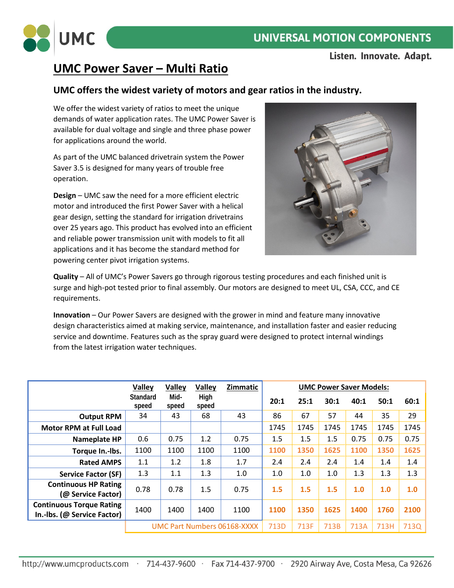

## **UNIVERSAL MOTION COMPONENTS**

Listen. Innovate. Adapt.

## **UMC Power Saver – Multi Ratio**

#### **UMC offers the widest variety of motors and gear ratios in the industry.**

We offer the widest variety of ratios to meet the unique demands of water application rates. The UMC Power Saver is available for dual voltage and single and three phase power for applications around the world.

As part of the UMC balanced drivetrain system the Power Saver 3.5 is designed for many years of trouble free operation.

**Design** – UMC saw the need for a more efficient electric motor and introduced the first Power Saver with a helical gear design, setting the standard for irrigation drivetrains over 25 years ago. This product has evolved into an efficient and reliable power transmission unit with models to fit all applications and it has become the standard method for powering center pivot irrigation systems.



**Quality** – All of UMC's Power Savers go through rigorous testing procedures and each finished unit is surge and high-pot tested prior to final assembly. Our motors are designed to meet UL, CSA, CCC, and CE requirements.

**Innovation** – Our Power Savers are designed with the grower in mind and feature many innovative design characteristics aimed at making service, maintenance, and installation faster and easier reducing service and downtime. Features such as the spray guard were designed to protect internal windings from the latest irrigation water techniques.

|                                                                | <b>Valley</b>               | <b>Valley</b> | <b>Valley</b> | Zimmatic | <b>UMC Power Saver Models:</b> |         |      |      |      |      |
|----------------------------------------------------------------|-----------------------------|---------------|---------------|----------|--------------------------------|---------|------|------|------|------|
|                                                                | Standard<br>speed           | Mid-<br>speed | High<br>speed |          | 20:1                           | 25:1    | 30:1 | 40:1 | 50:1 | 60:1 |
| <b>Output RPM</b>                                              | 34                          | 43            | 68            | 43       | 86                             | 67      | 57   | 44   | 35   | 29   |
| <b>Motor RPM at Full Load</b>                                  |                             |               |               |          | 1745                           | 1745    | 1745 | 1745 | 1745 | 1745 |
| Nameplate HP                                                   | 0.6                         | 0.75          | 1.2           | 0.75     | 1.5                            | 1.5     | 1.5  | 0.75 | 0.75 | 0.75 |
| Torque In.-Ibs.                                                | 1100                        | 1100          | 1100          | 1100     | 1100                           | 1350    | 1625 | 1100 | 1350 | 1625 |
| <b>Rated AMPS</b>                                              | 1.1                         | 1.2           | 1.8           | 1.7      | 2.4                            | $2.4\,$ | 2.4  | 1.4  | 1.4  | 1.4  |
| <b>Service Factor (SF)</b>                                     | 1.3                         | 1.1           | 1.3           | 1.0      | 1.0                            | 1.0     | 1.0  | 1.3  | 1.3  | 1.3  |
| <b>Continuous HP Rating</b><br>(@ Service Factor)              | 0.78                        | 0.78          | 1.5           | 0.75     | 1.5                            | 1.5     | 1.5  | 1.0  | 1.0  | 1.0  |
| <b>Continuous Torque Rating</b><br>In.-Ibs. (@ Service Factor) | 1400                        | 1400          | 1400          | 1100     | 1100                           | 1350    | 1625 | 1400 | 1760 | 2100 |
|                                                                | UMC Part Numbers 06168-XXXX |               |               | 713D     | 713F                           | 713B    | 713A | 713H | 713Q |      |